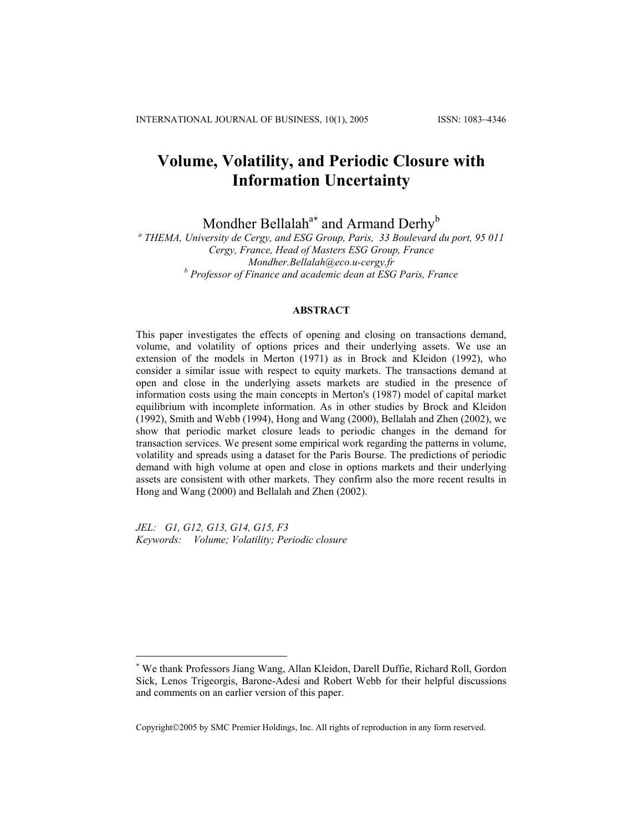# **Volume, Volatility, and Periodic Closure with Information Uncertainty**

Mondher Bellalah<sup>a[∗](#page-0-0)</sup> and Armand Derhy<sup>b</sup>

*a THEMA, University de Cergy, and ESG Group, Paris, 33 Boulevard du port, 95 011 Cergy, France, Head of Masters ESG Group, France Mondher.Bellalah@eco.u-cergy.fr b Professor of Finance and academic dean at ESG Paris, France* 

# **ABSTRACT**

This paper investigates the effects of opening and closing on transactions demand, volume, and volatility of options prices and their underlying assets. We use an extension of the models in Merton (1971) as in Brock and Kleidon (1992), who consider a similar issue with respect to equity markets. The transactions demand at open and close in the underlying assets markets are studied in the presence of information costs using the main concepts in Merton's (1987) model of capital market equilibrium with incomplete information. As in other studies by Brock and Kleidon (1992), Smith and Webb (1994), Hong and Wang (2000), Bellalah and Zhen (2002), we show that periodic market closure leads to periodic changes in the demand for transaction services. We present some empirical work regarding the patterns in volume, volatility and spreads using a dataset for the Paris Bourse. The predictions of periodic demand with high volume at open and close in options markets and their underlying assets are consistent with other markets. They confirm also the more recent results in Hong and Wang (2000) and Bellalah and Zhen (2002).

*JEL: G1, G12, G13, G14, G15, F3 Keywords: Volume; Volatility; Periodic closure* 

1

Copyright©2005 by SMC Premier Holdings, Inc. All rights of reproduction in any form reserved.

<span id="page-0-0"></span><sup>∗</sup> We thank Professors Jiang Wang, Allan Kleidon, Darell Duffie, Richard Roll, Gordon Sick, Lenos Trigeorgis, Barone-Adesi and Robert Webb for their helpful discussions and comments on an earlier version of this paper.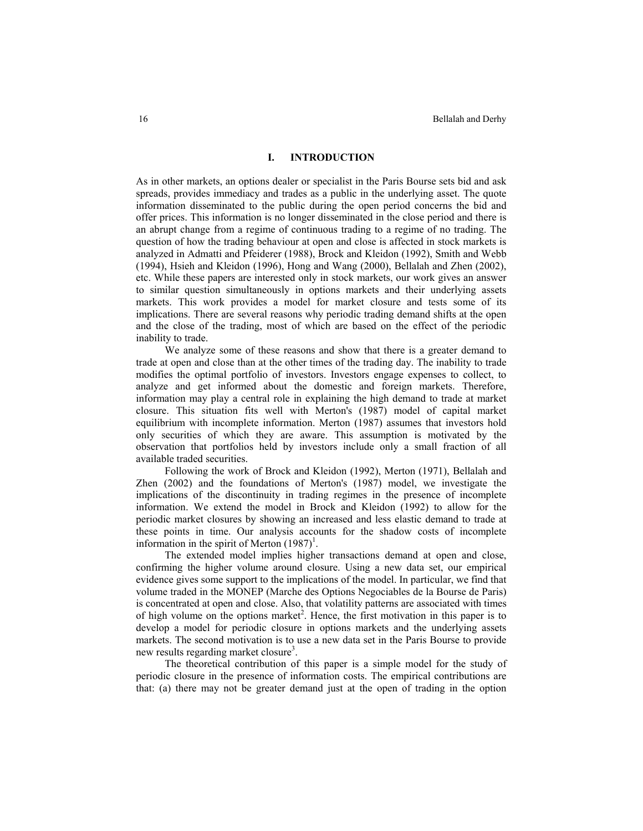# **I. INTRODUCTION**

As in other markets, an options dealer or specialist in the Paris Bourse sets bid and ask spreads, provides immediacy and trades as a public in the underlying asset. The quote information disseminated to the public during the open period concerns the bid and offer prices. This information is no longer disseminated in the close period and there is an abrupt change from a regime of continuous trading to a regime of no trading. The question of how the trading behaviour at open and close is affected in stock markets is analyzed in Admatti and Pfeiderer (1988), Brock and Kleidon (1992), Smith and Webb (1994), Hsieh and Kleidon (1996), Hong and Wang (2000), Bellalah and Zhen (2002), etc. While these papers are interested only in stock markets, our work gives an answer to similar question simultaneously in options markets and their underlying assets markets. This work provides a model for market closure and tests some of its implications. There are several reasons why periodic trading demand shifts at the open and the close of the trading, most of which are based on the effect of the periodic inability to trade.

We analyze some of these reasons and show that there is a greater demand to trade at open and close than at the other times of the trading day. The inability to trade modifies the optimal portfolio of investors. Investors engage expenses to collect, to analyze and get informed about the domestic and foreign markets. Therefore, information may play a central role in explaining the high demand to trade at market closure. This situation fits well with Merton's (1987) model of capital market equilibrium with incomplete information. Merton (1987) assumes that investors hold only securities of which they are aware. This assumption is motivated by the observation that portfolios held by investors include only a small fraction of all available traded securities.

Following the work of Brock and Kleidon (1992), Merton (1971), Bellalah and Zhen (2002) and the foundations of Merton's (1987) model, we investigate the implications of the discontinuity in trading regimes in the presence of incomplete information. We extend the model in Brock and Kleidon (1992) to allow for the periodic market closures by showing an increased and less elastic demand to trade at these points in time. Our analysis accounts for the shadow costs of incomplete information in the spirit of Merton  $(1987)^1$ .

The extended model implies higher transactions demand at open and close, confirming the higher volume around closure. Using a new data set, our empirical evidence gives some support to the implications of the model. In particular, we find that volume traded in the MONEP (Marche des Options Negociables de la Bourse de Paris) is concentrated at open and close. Also, that volatility patterns are associated with times of high volume on the options market<sup>2</sup>. Hence, the first motivation in this paper is to develop a model for periodic closure in options markets and the underlying assets markets. The second motivation is to use a new data set in the Paris Bourse to provide new results regarding market closure<sup>3</sup>.

The theoretical contribution of this paper is a simple model for the study of periodic closure in the presence of information costs. The empirical contributions are that: (a) there may not be greater demand just at the open of trading in the option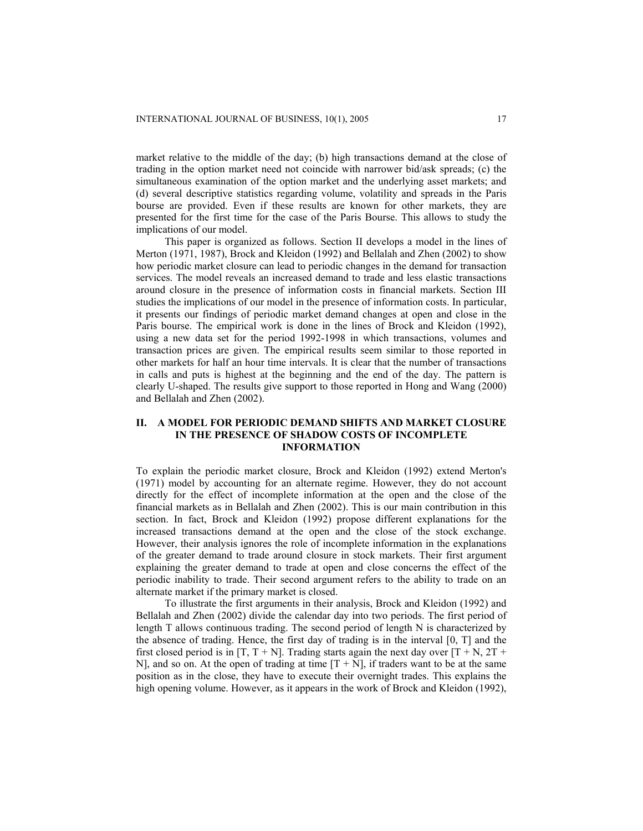market relative to the middle of the day; (b) high transactions demand at the close of trading in the option market need not coincide with narrower bid/ask spreads; (c) the simultaneous examination of the option market and the underlying asset markets; and (d) several descriptive statistics regarding volume, volatility and spreads in the Paris bourse are provided. Even if these results are known for other markets, they are presented for the first time for the case of the Paris Bourse. This allows to study the implications of our model.

This paper is organized as follows. Section II develops a model in the lines of Merton (1971, 1987), Brock and Kleidon (1992) and Bellalah and Zhen (2002) to show how periodic market closure can lead to periodic changes in the demand for transaction services. The model reveals an increased demand to trade and less elastic transactions around closure in the presence of information costs in financial markets. Section III studies the implications of our model in the presence of information costs. In particular, it presents our findings of periodic market demand changes at open and close in the Paris bourse. The empirical work is done in the lines of Brock and Kleidon (1992), using a new data set for the period 1992-1998 in which transactions, volumes and transaction prices are given. The empirical results seem similar to those reported in other markets for half an hour time intervals. It is clear that the number of transactions in calls and puts is highest at the beginning and the end of the day. The pattern is clearly U-shaped. The results give support to those reported in Hong and Wang (2000) and Bellalah and Zhen (2002).

# **II. A MODEL FOR PERIODIC DEMAND SHIFTS AND MARKET CLOSURE IN THE PRESENCE OF SHADOW COSTS OF INCOMPLETE INFORMATION**

To explain the periodic market closure, Brock and Kleidon (1992) extend Merton's (1971) model by accounting for an alternate regime. However, they do not account directly for the effect of incomplete information at the open and the close of the financial markets as in Bellalah and Zhen (2002). This is our main contribution in this section. In fact, Brock and Kleidon (1992) propose different explanations for the increased transactions demand at the open and the close of the stock exchange. However, their analysis ignores the role of incomplete information in the explanations of the greater demand to trade around closure in stock markets. Their first argument explaining the greater demand to trade at open and close concerns the effect of the periodic inability to trade. Their second argument refers to the ability to trade on an alternate market if the primary market is closed.

To illustrate the first arguments in their analysis, Brock and Kleidon (1992) and Bellalah and Zhen (2002) divide the calendar day into two periods. The first period of length T allows continuous trading. The second period of length N is characterized by the absence of trading. Hence, the first day of trading is in the interval  $[0, T]$  and the first closed period is in  $[T, T + N]$ . Trading starts again the next day over  $[T + N, 2T + N]$ N], and so on. At the open of trading at time  $[T + N]$ , if traders want to be at the same position as in the close, they have to execute their overnight trades. This explains the high opening volume. However, as it appears in the work of Brock and Kleidon (1992),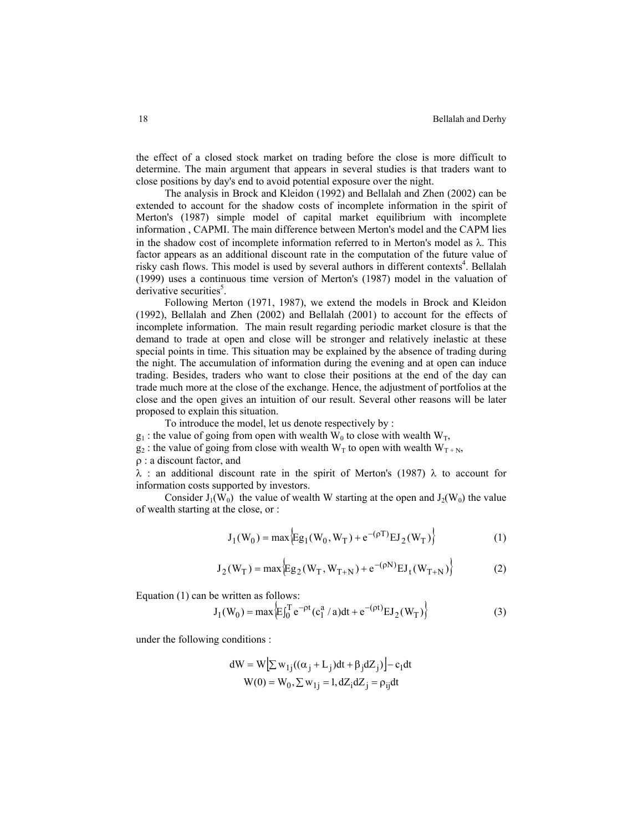the effect of a closed stock market on trading before the close is more difficult to determine. The main argument that appears in several studies is that traders want to close positions by day's end to avoid potential exposure over the night.

The analysis in Brock and Kleidon (1992) and Bellalah and Zhen (2002) can be extended to account for the shadow costs of incomplete information in the spirit of Merton's (1987) simple model of capital market equilibrium with incomplete information , CAPMI. The main difference between Merton's model and the CAPM lies in the shadow cost of incomplete information referred to in Merton's model as λ. This factor appears as an additional discount rate in the computation of the future value of risky cash flows. This model is used by several authors in different contexts 4 . Bellalah (1999) uses a continuous time version of Merton's (1987) model in the valuation of derivative securities<sup>5</sup>.

Following Merton (1971, 1987), we extend the models in Brock and Kleidon (1992), Bellalah and Zhen (2002) and Bellalah (2001) to account for the effects of incomplete information. The main result regarding periodic market closure is that the demand to trade at open and close will be stronger and relatively inelastic at these special points in time. This situation may be explained by the absence of trading during the night. The accumulation of information during the evening and at open can induce trading. Besides, traders who want to close their positions at the end of the day can trade much more at the close of the exchange. Hence, the adjustment of portfolios at the close and the open gives an intuition of our result. Several other reasons will be later proposed to explain this situation.

To introduce the model, let us denote respectively by :

- $g_1$ : the value of going from open with wealth W<sub>0</sub> to close with wealth W<sub>T</sub>,
- $g_2$ : the value of going from close with wealth W<sub>T</sub> to open with wealth W<sub>T+N</sub>,

ρ : a discount factor, and

 $\lambda$  : an additional discount rate in the spirit of Merton's (1987)  $\lambda$  to account for information costs supported by investors.

Consider  $J_1(W_0)$  the value of wealth W starting at the open and  $J_2(W_0)$  the value of wealth starting at the close, or :

$$
J_1(W_0) = \max \Big\{ Eg_1(W_0, W_T) + e^{-(\rho T)} EJ_2(W_T) \Big\}
$$
 (1)

$$
J_2(W_T) = \max \Big\{ Eg_2(W_T, W_{T+N}) + e^{-(\rho N)} EI_t(W_{T+N}) \Big\}
$$
 (2)

Equation (1) can be written as follows:

$$
J_1(W_0) = \max \left\{ E \int_0^T e^{-\rho t} (c_1^a / a) dt + e^{-(\rho t)} E J_2(W_T) \right\}
$$
 (3)

under the following conditions :

$$
dW = W[\sum w_{1j}((\alpha_j + L_j)dt + \beta_j dZ_j)] - c_1 dt
$$
  
W(0) = W<sub>0</sub>,  $\sum w_{1j} = 1$ ,  $dZ_i dZ_j = \rho_{ij} dt$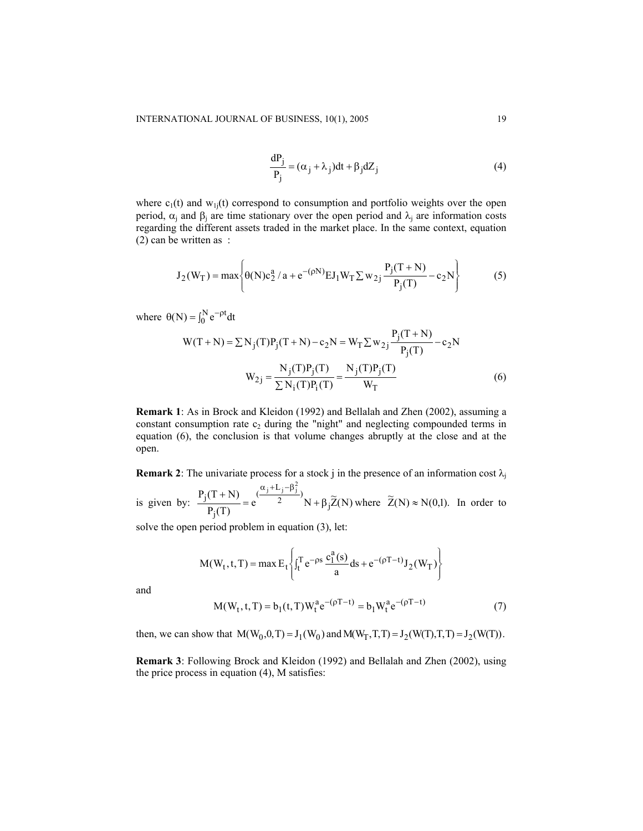$$
\frac{dP_j}{P_j} = (\alpha_j + \lambda_j)dt + \beta_j dZ_j
$$
\n(4)

where  $c_1(t)$  and  $w_1(t)$  correspond to consumption and portfolio weights over the open period,  $\alpha_i$  and β<sub>i</sub> are time stationary over the open period and λ<sub>i</sub> are information costs regarding the different assets traded in the market place. In the same context, equation (2) can be written as :

$$
J_2(W_T) = \max \left\{ \theta(N)c_2^a / a + e^{-(\rho N)} E J_1 W_T \sum w_{2j} \frac{P_j(T+N)}{P_j(T)} - c_2 N \right\}
$$
(5)

where  $\theta(N) = \int_0^N e^{-\rho t} dt$ 

$$
W(T+N) = \sum N_j(T)P_j(T+N) - c_2N = W_T \sum w_{2j} \frac{P_j(T+N)}{P_j(T)} - c_2N
$$
  

$$
W_{2j} = \frac{N_j(T)P_j(T)}{\sum N_i(T)P_i(T)} = \frac{N_j(T)P_j(T)}{W_T}
$$
 (6)

**Remark 1**: As in Brock and Kleidon (1992) and Bellalah and Zhen (2002), assuming a constant consumption rate  $c_2$  during the "night" and neglecting compounded terms in equation (6), the conclusion is that volume changes abruptly at the close and at the open.

**Remark 2**: The univariate process for a stock j in the presence of an information cost  $\lambda_j$ 

is given by:  $\frac{P_j(T+N)}{P_i(T)} = e^{\frac{(-1)^j(T+N)}{2}}N + \beta_j \widetilde{Z}(N)$  $P_i(T + N)$  $\frac{(\alpha_j + L_j - \beta_j^2)}{2}$ <sub>N</sub> +  $\beta_j$ j j  $i + L_i - \beta_i^2$  $= e^{2}$   $2 \overline{N} + \beta$  $\frac{+ (N+1)(\alpha + 1)(\alpha + 1)}{2}$  = e  $\frac{(\alpha + 1)(\alpha + 1)(\alpha + 1)}{2}$  N +  $\beta_1 \tilde{Z}(N)$  where  $\tilde{Z}(N) \approx N(0,1)$ . In order to

solve the open period problem in equation (3), let:

$$
M(W_t, t, T) = \max E_t \left\{ \int_t^T e^{-\rho s} \frac{c_1^a(s)}{a} ds + e^{-(\rho T - t)} J_2(W_T) \right\}
$$
  

$$
M(W_t, t, T) = b_1(t, T) W_t^a e^{-(\rho T - t)} = b_1 W_t^a e^{-(\rho T - t)}
$$
 (7)

and

then, we can show that 
$$
M(W_0, 0, T) = J_1(W_0)
$$
 and  $M(W_T, T, T) = J_2(W(T), T, T) = J_2(W(T))$ .

**Remark 3**: Following Brock and Kleidon (1992) and Bellalah and Zhen (2002), using the price process in equation (4), M satisfies: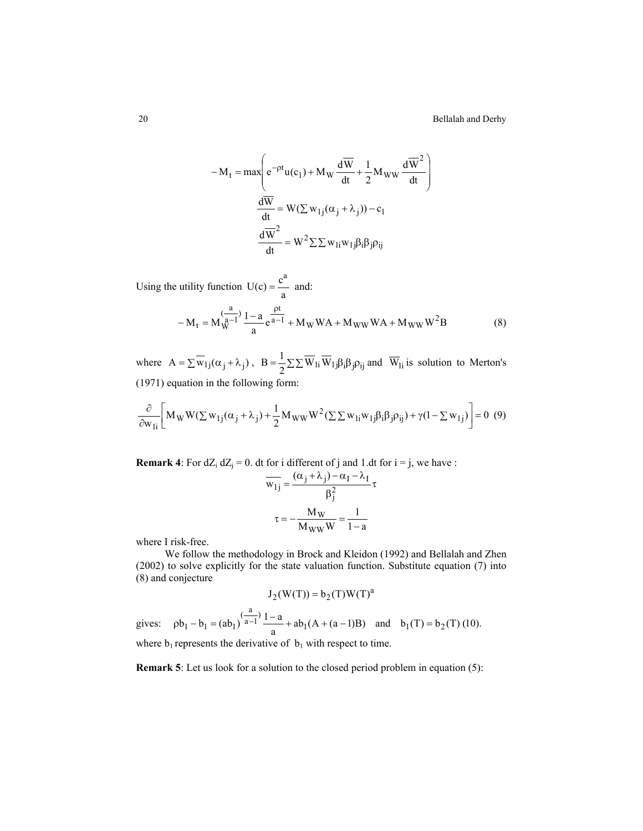$$
-M_{t} = \max \left(e^{-\rho t}u(c_{1}) + M_{W}\frac{d\overline{W}}{dt} + \frac{1}{2}M_{WW}\frac{d\overline{W}^{2}}{dt}\right)
$$

$$
\frac{d\overline{W}}{dt} = W(\Sigma w_{1j}(\alpha_{j} + \lambda_{j})) - c_{1}
$$

$$
\frac{d\overline{W}^{2}}{dt} = W^{2}\Sigma \Sigma w_{1i}w_{1j}\beta_{i}\beta_{j}\rho_{ij}
$$

Using the utility function  $U(c) = \frac{c^a}{a}$  $=$   $\frac{6}{x}$  and:  $- M_t = M_W^{\frac{a}{a-1}} \frac{1-a}{a} e^{\frac{pt}{a-1}} + M_W W A + M_{WW} W A + M_{WW} W^2 B$  $e^{-1} \frac{1 - a}{1 - a} e^{a - 1} + M_W W A + M_{WW} W A + M_{WW} W^2 B$  (8)

where  $A = \sum \overline{w}_{1j}(\alpha_j + \lambda_j)$ ,  $B = \frac{1}{2} \sum \sum \overline{w}_{1i} \overline{w}_{1j} \beta_i \beta_j \rho_{ij}$  and  $\overline{w}_{1i}$  is solution to Merton's (1971) equation in the following form:

$$
\frac{\partial}{\partial w_{1i}} \Big[ M_W W(\Sigma w_{1j}(\alpha_j + \lambda_j) + \frac{1}{2} M_{WW} W^2(\Sigma \Sigma w_{1i} w_{1j} \beta_i \beta_j \rho_{ij}) + \gamma (1 - \Sigma w_{1j}) \Big] = 0 \tag{9}
$$

**Remark 4**: For  $dZ_i$   $dZ_j = 0$ . dt for i different of j and 1.dt for  $i = j$ , we have :

$$
\overline{w_{1j}} = \frac{(\alpha_j + \lambda_j) - \alpha_1 - \lambda_1}{\beta_j^2} \tau
$$

$$
\tau = -\frac{M_W}{M_W W} = \frac{1}{1 - a}
$$

where I risk-free.

We follow the methodology in Brock and Kleidon (1992) and Bellalah and Zhen (2002) to solve explicitly for the state valuation function. Substitute equation (7) into (8) and conjecture

$$
J_2(W(T)) = b_2(T)W(T)^a
$$

gives:  $pb_1 - b_1 = (ab_1)^{\frac{a}{a-1}} \frac{1-a}{a} + ab_1(A + (a-1)B)$  and  $b_1(T) = b_2(T)$  (10). where  $b_1$  represents the derivative of  $b_1$  with respect to time.

**Remark 5**: Let us look for a solution to the closed period problem in equation (5):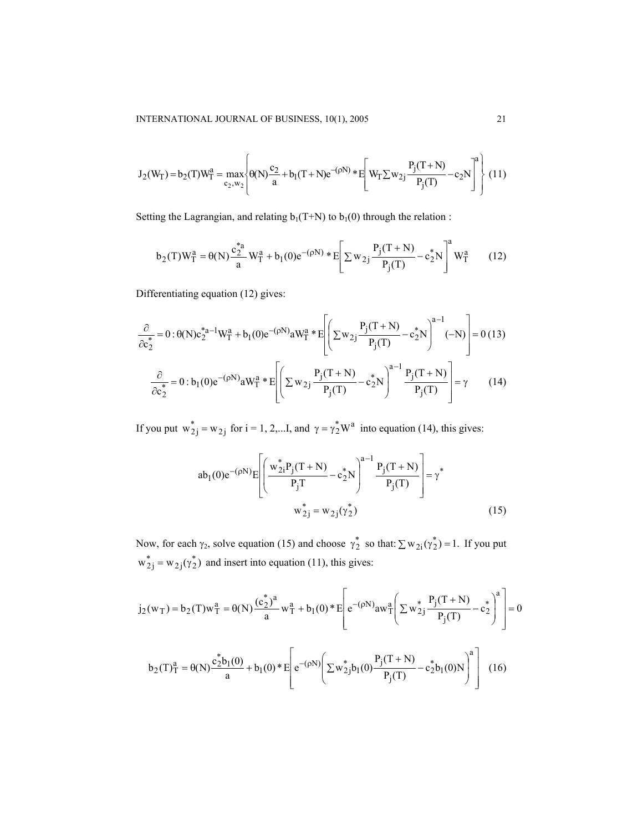$$
J_2(W_T) = b_2(T)W_T^a = \max_{c_2, w_2} \left\{ \theta(N) \frac{c_2}{a} + b_1(T+N)e^{-(\rho N)} * E\left[W_T \sum w_{2j} \frac{P_j(T+N)}{P_j(T)} - c_2 N\right]^a \right\} (11)
$$

Setting the Lagrangian, and relating  $b_1(T+N)$  to  $b_1(0)$  through the relation :

$$
b_2(T)W_T^a = \theta(N)\frac{c_2^*}{a}W_T^a + b_1(0)e^{-(\rho N)} * E\left[\sum w_{2j}\frac{P_j(T+N)}{P_j(T)} - c_2^*N\right]^a W_T^a \tag{12}
$$

Differentiating equation (12) gives:

$$
\frac{\partial}{\partial c_2^*} = 0: \theta(N)c_2^{*a-1}W_T^a + b_1(0)e^{-(\rho N)}aW_T^a * E\left[\left(\sum w_{2j}\frac{P_j(T+N)}{P_j(T)} - c_2^*N\right)^{a-1}(-N)\right] = 0 \tag{13}
$$
\n
$$
\frac{\partial}{\partial c_2^*} = 0: b_1(0)e^{-(\rho N)}aW_T^a * E\left[\left(\sum w_{2j}\frac{P_j(T+N)}{P_j(T)} - c_2^*N\right)^{a-1}\frac{P_j(T+N)}{P_j(T)}\right] = \gamma \tag{14}
$$

If you put  $w_{2j}^* = w_{2j}$  for  $i = 1, 2,...I$ , and  $\gamma = \gamma_2^* W^a$  into equation (14), this gives:

$$
ab_1(0)e^{-(\rho N)}E\left[\left(\frac{w_{2i}^*P_j(T+N)}{P_jT}-c_2^*N\right)^{a-1}\frac{P_j(T+N)}{P_j(T)}\right]=\gamma^*
$$
  

$$
w_{2j}^* = w_{2j}(\gamma_2^*)
$$
 (15)

Now, for each  $\gamma_2$ , solve equation (15) and choose  $\gamma_2^*$  so that:  $\sum w_{2i}(\gamma_2^*) = 1$ . If you put  $w_{2j}^* = w_{2j}(\gamma_2^*)$  and insert into equation (11), this gives:

$$
j_2(w_T) = b_2(T)w_T^a = \theta(N)\frac{(c_2^*)^a}{a}w_T^a + b_1(0)^*E\left[e^{-(\rho N)}aw_T^a\left(\sum w_{2j}^*\frac{P_j(T+N)}{P_j(T)} - c_2^*\right)^a\right] = 0
$$

$$
b_2(T)_T^a = \theta(N)\frac{c_2^*b_1(0)}{a} + b_1(0)^*E\left[e^{-(\rho N)}\left(\sum w_{2j}^*b_1(0)\frac{P_j(T+N)}{P_j(T)} - c_2^*b_1(0)N\right)^a\right] \tag{16}
$$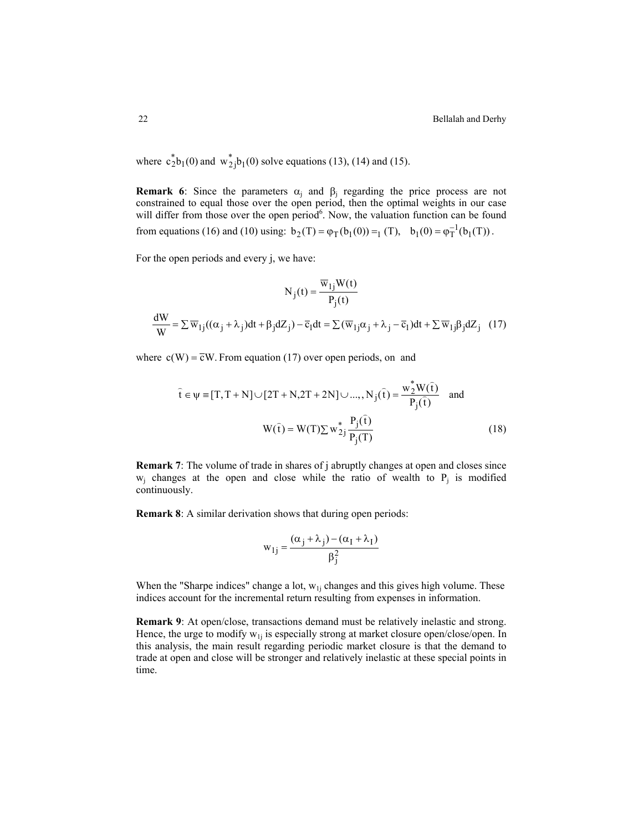where  $c_2^*b_1(0)$  and  $w_2^*j_0(0)$  solve equations (13), (14) and (15).

**Remark 6**: Since the parameters  $\alpha_i$  and  $\beta_i$  regarding the price process are not constrained to equal those over the open period, then the optimal weights in our case will differ from those over the open period<sup>6</sup>. Now, the valuation function can be found from equations (16) and (10) using:  $b_2(T) = \varphi_T(b_1(0)) =_1 (T)$ ,  $b_1(0) = \varphi_T^{-1}(b_1(T))$ .

For the open periods and every j, we have:

$$
N_j(t) = \frac{\overline{w}_{1j}W(t)}{P_j(t)}
$$

$$
\frac{dW}{W} = \sum \overline{w}_{1j}((\alpha_j + \lambda_j)dt + \beta_j dZ_j) - \overline{c}_1 dt = \sum (\overline{w}_{1j}\alpha_j + \lambda_j - \overline{c}_1)dt + \sum \overline{w}_{1j}\beta_j dZ_j \quad (17)
$$

where  $c(W) = \overline{c}W$ . From equation (17) over open periods, on and

$$
\hat{\mathbf{t}} \in \psi = [T, T + N] \cup [2T + N, 2T + 2N] \cup ..., N_j(\hat{\mathbf{t}}) = \frac{w_2^* W(\hat{\mathbf{t}})}{P_j(\hat{\mathbf{t}})}
$$
 and  

$$
W(\hat{\mathbf{t}}) = W(T) \sum w_{2j}^* \frac{P_j(\hat{\mathbf{t}})}{P_j(T)}
$$
(18)

**Remark 7**: The volume of trade in shares of j abruptly changes at open and closes since  $w_i$  changes at the open and close while the ratio of wealth to  $P_i$  is modified continuously.

**Remark 8**: A similar derivation shows that during open periods:

$$
w_{1j} = \frac{(\alpha_j + \lambda_j) - (\alpha_I + \lambda_I)}{\beta_j^2}
$$

When the "Sharpe indices" change a lot,  $w_{1i}$  changes and this gives high volume. These indices account for the incremental return resulting from expenses in information.

**Remark 9**: At open/close, transactions demand must be relatively inelastic and strong. Hence, the urge to modify  $w_{1i}$  is especially strong at market closure open/close/open. In this analysis, the main result regarding periodic market closure is that the demand to trade at open and close will be stronger and relatively inelastic at these special points in time.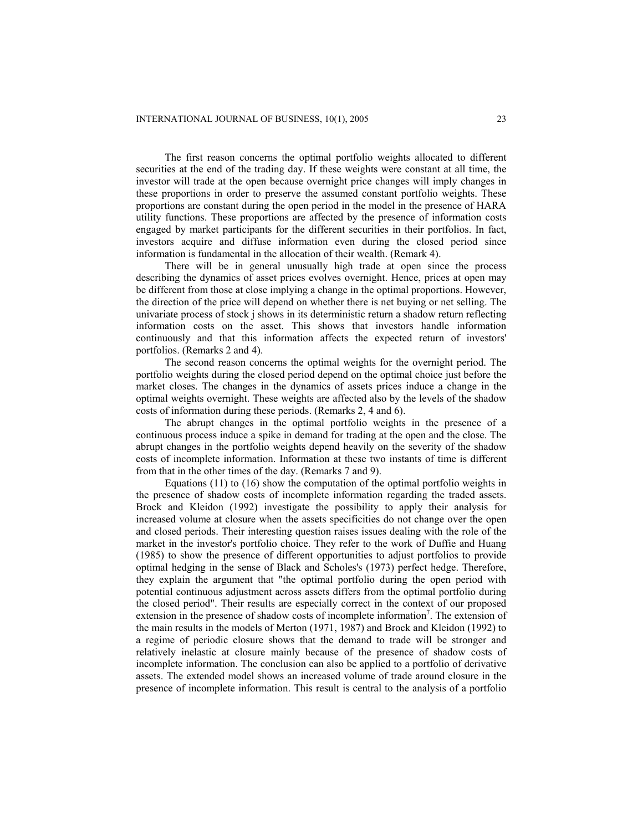The first reason concerns the optimal portfolio weights allocated to different securities at the end of the trading day. If these weights were constant at all time, the investor will trade at the open because overnight price changes will imply changes in these proportions in order to preserve the assumed constant portfolio weights. These proportions are constant during the open period in the model in the presence of HARA utility functions. These proportions are affected by the presence of information costs engaged by market participants for the different securities in their portfolios. In fact, investors acquire and diffuse information even during the closed period since information is fundamental in the allocation of their wealth. (Remark 4).

There will be in general unusually high trade at open since the process describing the dynamics of asset prices evolves overnight. Hence, prices at open may be different from those at close implying a change in the optimal proportions. However, the direction of the price will depend on whether there is net buying or net selling. The univariate process of stock j shows in its deterministic return a shadow return reflecting information costs on the asset. This shows that investors handle information continuously and that this information affects the expected return of investors' portfolios. (Remarks 2 and 4).

The second reason concerns the optimal weights for the overnight period. The portfolio weights during the closed period depend on the optimal choice just before the market closes. The changes in the dynamics of assets prices induce a change in the optimal weights overnight. These weights are affected also by the levels of the shadow costs of information during these periods. (Remarks 2, 4 and 6).

The abrupt changes in the optimal portfolio weights in the presence of a continuous process induce a spike in demand for trading at the open and the close. The abrupt changes in the portfolio weights depend heavily on the severity of the shadow costs of incomplete information. Information at these two instants of time is different from that in the other times of the day. (Remarks 7 and 9).

Equations (11) to (16) show the computation of the optimal portfolio weights in the presence of shadow costs of incomplete information regarding the traded assets. Brock and Kleidon (1992) investigate the possibility to apply their analysis for increased volume at closure when the assets specificities do not change over the open and closed periods. Their interesting question raises issues dealing with the role of the market in the investor's portfolio choice. They refer to the work of Duffie and Huang (1985) to show the presence of different opportunities to adjust portfolios to provide optimal hedging in the sense of Black and Scholes's (1973) perfect hedge. Therefore, they explain the argument that "the optimal portfolio during the open period with potential continuous adjustment across assets differs from the optimal portfolio during the closed period". Their results are especially correct in the context of our proposed extension in the presence of shadow costs of incomplete information<sup>7</sup>. The extension of the main results in the models of Merton (1971, 1987) and Brock and Kleidon (1992) to a regime of periodic closure shows that the demand to trade will be stronger and relatively inelastic at closure mainly because of the presence of shadow costs of incomplete information. The conclusion can also be applied to a portfolio of derivative assets. The extended model shows an increased volume of trade around closure in the presence of incomplete information. This result is central to the analysis of a portfolio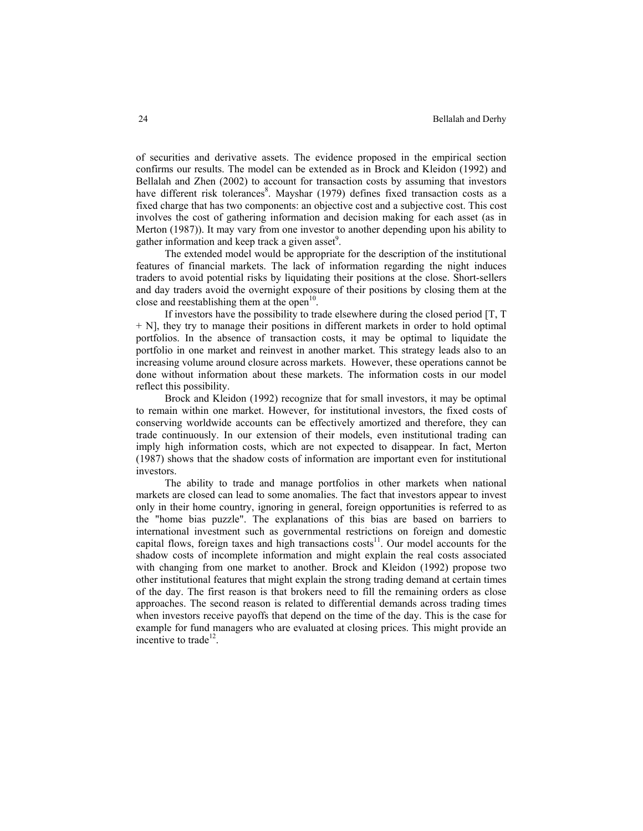of securities and derivative assets. The evidence proposed in the empirical section confirms our results. The model can be extended as in Brock and Kleidon (1992) and Bellalah and Zhen (2002) to account for transaction costs by assuming that investors have different risk tolerances<sup>8</sup>. Mayshar (1979) defines fixed transaction costs as a fixed charge that has two components: an objective cost and a subjective cost. This cost involves the cost of gathering information and decision making for each asset (as in Merton (1987)). It may vary from one investor to another depending upon his ability to gather information and keep track a given asset<sup>9</sup>.

The extended model would be appropriate for the description of the institutional features of financial markets. The lack of information regarding the night induces traders to avoid potential risks by liquidating their positions at the close. Short-sellers and day traders avoid the overnight exposure of their positions by closing them at the close and reestablishing them at the open<sup>10</sup>.

If investors have the possibility to trade elsewhere during the closed period [T, T + N], they try to manage their positions in different markets in order to hold optimal portfolios. In the absence of transaction costs, it may be optimal to liquidate the portfolio in one market and reinvest in another market. This strategy leads also to an increasing volume around closure across markets. However, these operations cannot be done without information about these markets. The information costs in our model reflect this possibility.

Brock and Kleidon (1992) recognize that for small investors, it may be optimal to remain within one market. However, for institutional investors, the fixed costs of conserving worldwide accounts can be effectively amortized and therefore, they can trade continuously. In our extension of their models, even institutional trading can imply high information costs, which are not expected to disappear. In fact, Merton (1987) shows that the shadow costs of information are important even for institutional investors.

The ability to trade and manage portfolios in other markets when national markets are closed can lead to some anomalies. The fact that investors appear to invest only in their home country, ignoring in general, foreign opportunities is referred to as the "home bias puzzle". The explanations of this bias are based on barriers to international investment such as governmental restrictions on foreign and domestic capital flows, foreign taxes and high transactions  $costs<sup>11</sup>$ . Our model accounts for the shadow costs of incomplete information and might explain the real costs associated with changing from one market to another. Brock and Kleidon (1992) propose two other institutional features that might explain the strong trading demand at certain times of the day. The first reason is that brokers need to fill the remaining orders as close approaches. The second reason is related to differential demands across trading times when investors receive payoffs that depend on the time of the day. This is the case for example for fund managers who are evaluated at closing prices. This might provide an incentive to trade<sup>12</sup>.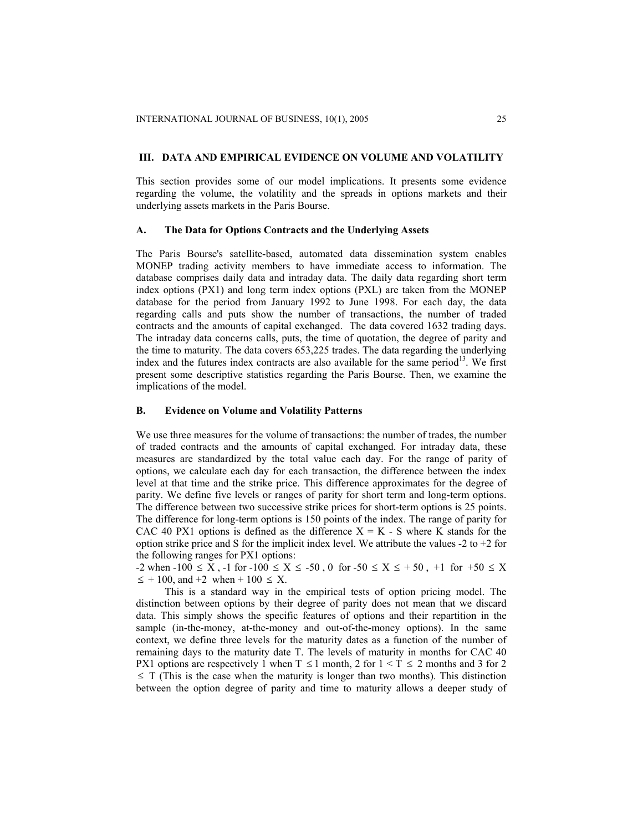# **III. DATA AND EMPIRICAL EVIDENCE ON VOLUME AND VOLATILITY**

This section provides some of our model implications. It presents some evidence regarding the volume, the volatility and the spreads in options markets and their underlying assets markets in the Paris Bourse.

#### **A. The Data for Options Contracts and the Underlying Assets**

The Paris Bourse's satellite-based, automated data dissemination system enables MONEP trading activity members to have immediate access to information. The database comprises daily data and intraday data. The daily data regarding short term index options (PX1) and long term index options (PXL) are taken from the MONEP database for the period from January 1992 to June 1998. For each day, the data regarding calls and puts show the number of transactions, the number of traded contracts and the amounts of capital exchanged. The data covered 1632 trading days. The intraday data concerns calls, puts, the time of quotation, the degree of parity and the time to maturity. The data covers 653,225 trades. The data regarding the underlying index and the futures index contracts are also available for the same period<sup>13</sup>. We first present some descriptive statistics regarding the Paris Bourse. Then, we examine the implications of the model.

# **B. Evidence on Volume and Volatility Patterns**

We use three measures for the volume of transactions: the number of trades, the number of traded contracts and the amounts of capital exchanged. For intraday data, these measures are standardized by the total value each day. For the range of parity of options, we calculate each day for each transaction, the difference between the index level at that time and the strike price. This difference approximates for the degree of parity. We define five levels or ranges of parity for short term and long-term options. The difference between two successive strike prices for short-term options is 25 points. The difference for long-term options is 150 points of the index. The range of parity for CAC 40 PX1 options is defined as the difference  $X = K - S$  where K stands for the option strike price and S for the implicit index level. We attribute the values  $-2$  to  $+2$  for the following ranges for PX1 options:

 $-2$  when  $-100 \le X$ ,  $-1$  for  $-100 \le X \le -50$ , 0 for  $-50 \le X \le +50$ ,  $+1$  for  $+50 \le X$  $\leq$  + 100, and +2 when + 100  $\leq$  X.

This is a standard way in the empirical tests of option pricing model. The distinction between options by their degree of parity does not mean that we discard data. This simply shows the specific features of options and their repartition in the sample (in-the-money, at-the-money and out-of-the-money options). In the same context, we define three levels for the maturity dates as a function of the number of remaining days to the maturity date T. The levels of maturity in months for CAC 40 PX1 options are respectively 1 when  $T \le 1$  month, 2 for  $1 \le T \le 2$  months and 3 for 2  $\leq$  T (This is the case when the maturity is longer than two months). This distinction between the option degree of parity and time to maturity allows a deeper study of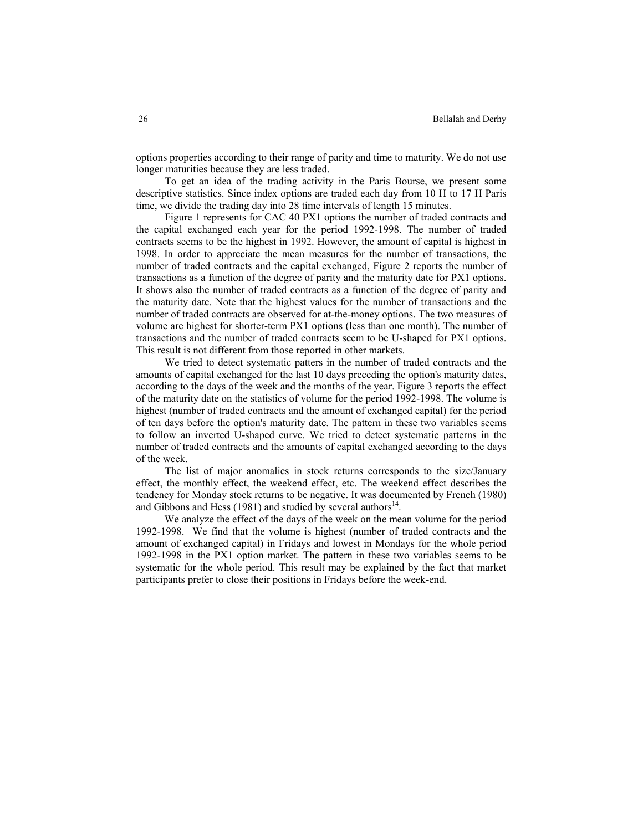options properties according to their range of parity and time to maturity. We do not use longer maturities because they are less traded.

To get an idea of the trading activity in the Paris Bourse, we present some descriptive statistics. Since index options are traded each day from 10 H to 17 H Paris time, we divide the trading day into 28 time intervals of length 15 minutes.

Figure 1 represents for CAC 40 PX1 options the number of traded contracts and the capital exchanged each year for the period 1992-1998. The number of traded contracts seems to be the highest in 1992. However, the amount of capital is highest in 1998. In order to appreciate the mean measures for the number of transactions, the number of traded contracts and the capital exchanged, Figure 2 reports the number of transactions as a function of the degree of parity and the maturity date for PX1 options. It shows also the number of traded contracts as a function of the degree of parity and the maturity date. Note that the highest values for the number of transactions and the number of traded contracts are observed for at-the-money options. The two measures of volume are highest for shorter-term PX1 options (less than one month). The number of transactions and the number of traded contracts seem to be U-shaped for PX1 options. This result is not different from those reported in other markets.

We tried to detect systematic patters in the number of traded contracts and the amounts of capital exchanged for the last 10 days preceding the option's maturity dates, according to the days of the week and the months of the year. Figure 3 reports the effect of the maturity date on the statistics of volume for the period 1992-1998. The volume is highest (number of traded contracts and the amount of exchanged capital) for the period of ten days before the option's maturity date. The pattern in these two variables seems to follow an inverted U-shaped curve. We tried to detect systematic patterns in the number of traded contracts and the amounts of capital exchanged according to the days of the week.

The list of major anomalies in stock returns corresponds to the size/January effect, the monthly effect, the weekend effect, etc. The weekend effect describes the tendency for Monday stock returns to be negative. It was documented by French (1980) and Gibbons and Hess (1981) and studied by several authors<sup>14</sup>.

We analyze the effect of the days of the week on the mean volume for the period 1992-1998. We find that the volume is highest (number of traded contracts and the amount of exchanged capital) in Fridays and lowest in Mondays for the whole period 1992-1998 in the PX1 option market. The pattern in these two variables seems to be systematic for the whole period. This result may be explained by the fact that market participants prefer to close their positions in Fridays before the week-end.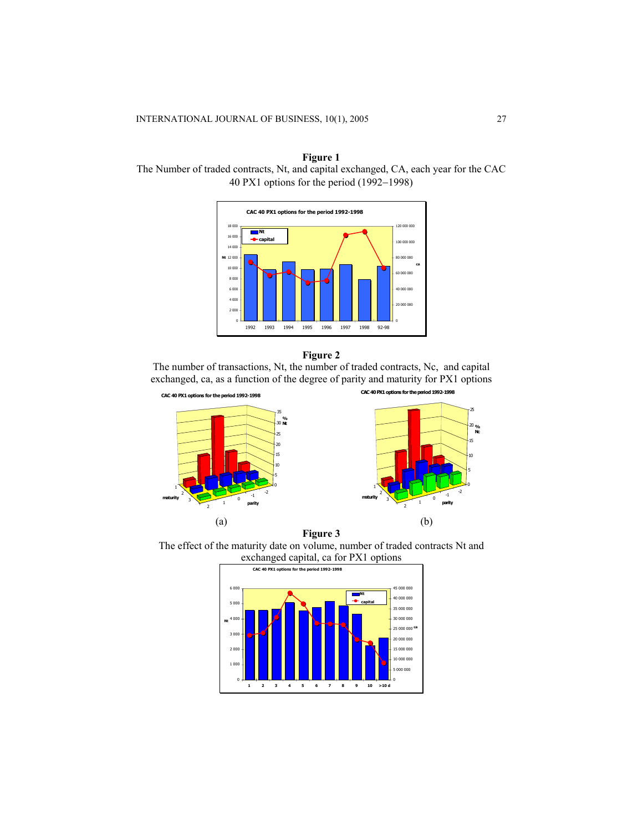



# **Figure 2**

The number of transactions, Nt, the number of traded contracts, Nc, and capital exchanged, ca, as a function of the degree of parity and maturity for PX1 options





The effect of the maturity date on volume, number of traded contracts Nt and exchanged capital, ca for PX1 options

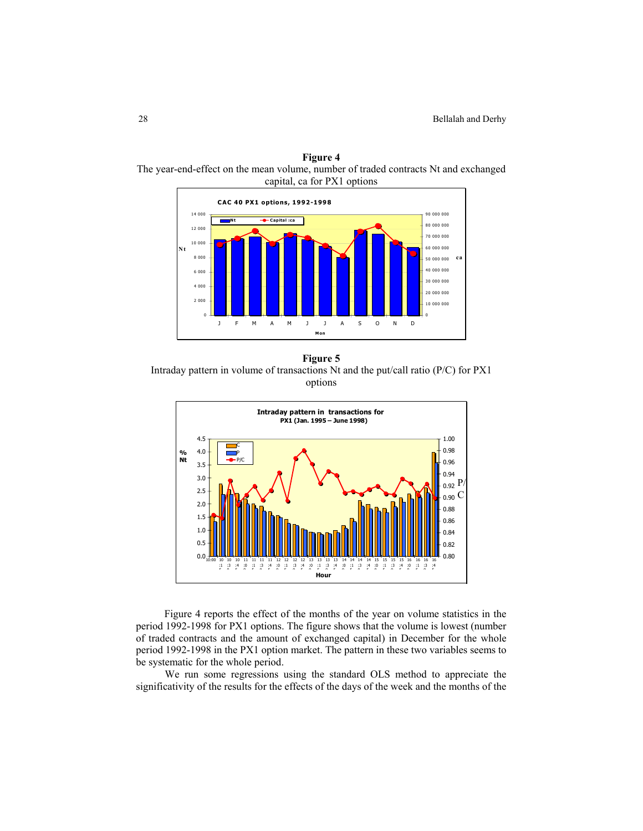

**Figure 4**  The year-end-effect on the mean volume, number of traded contracts Nt and exchanged

**Figure 5**  Intraday pattern in volume of transactions Nt and the put/call ratio (P/C) for PX1 options



Figure 4 reports the effect of the months of the year on volume statistics in the period 1992-1998 for PX1 options. The figure shows that the volume is lowest (number of traded contracts and the amount of exchanged capital) in December for the whole period 1992-1998 in the PX1 option market. The pattern in these two variables seems to be systematic for the whole period.

We run some regressions using the standard OLS method to appreciate the significativity of the results for the effects of the days of the week and the months of the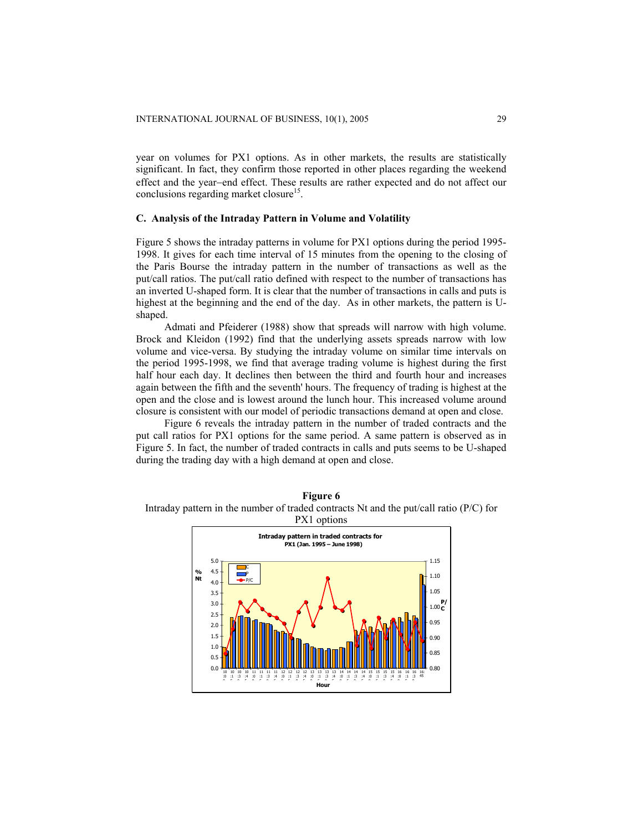year on volumes for PX1 options. As in other markets, the results are statistically significant. In fact, they confirm those reported in other places regarding the weekend effect and the year−end effect. These results are rather expected and do not affect our conclusions regarding market closure<sup>15</sup>.

# **C. Analysis of the Intraday Pattern in Volume and Volatility**

Figure 5 shows the intraday patterns in volume for PX1 options during the period 1995- 1998. It gives for each time interval of 15 minutes from the opening to the closing of the Paris Bourse the intraday pattern in the number of transactions as well as the put/call ratios. The put/call ratio defined with respect to the number of transactions has an inverted U-shaped form. It is clear that the number of transactions in calls and puts is highest at the beginning and the end of the day. As in other markets, the pattern is Ushaped.

Admati and Pfeiderer (1988) show that spreads will narrow with high volume. Brock and Kleidon (1992) find that the underlying assets spreads narrow with low volume and vice-versa. By studying the intraday volume on similar time intervals on the period 1995-1998, we find that average trading volume is highest during the first half hour each day. It declines then between the third and fourth hour and increases again between the fifth and the seventh' hours. The frequency of trading is highest at the open and the close and is lowest around the lunch hour. This increased volume around closure is consistent with our model of periodic transactions demand at open and close.

Figure 6 reveals the intraday pattern in the number of traded contracts and the put call ratios for PX1 options for the same period. A same pattern is observed as in Figure 5. In fact, the number of traded contracts in calls and puts seems to be U-shaped during the trading day with a high demand at open and close.



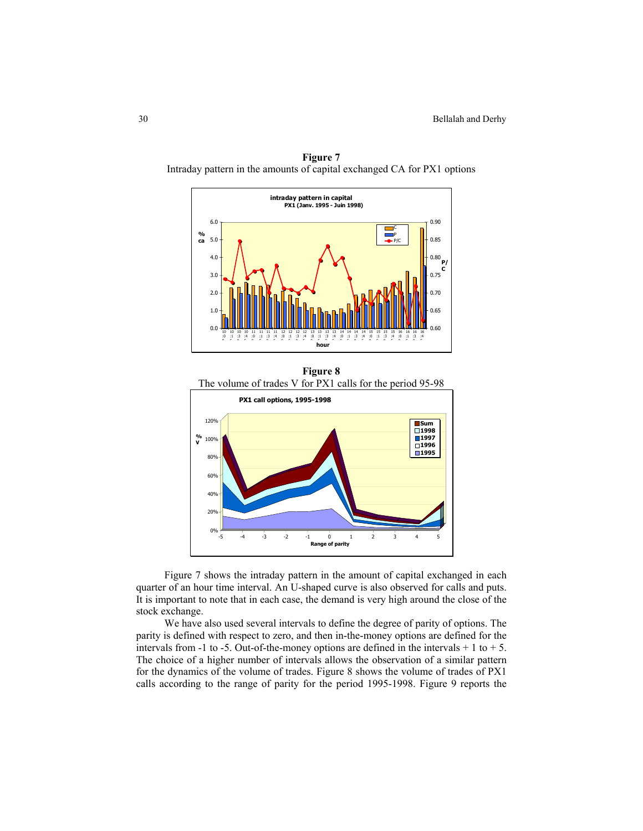

**Figure 7**  Intraday pattern in the amounts of capital exchanged CA for PX1 options

**Figure 8**  The volume of trades V for PX1 calls for the period 95-98 0%  $20<sup>6</sup>$ 40% 60% 80% 100%  $120$ **% V** -5 -4 -3 -2 -1 0 1 2 3 4 5 **Range of parity PX1 call options, 1995-1998 Sum 1998 1997 1996 1995**

Figure 7 shows the intraday pattern in the amount of capital exchanged in each quarter of an hour time interval. An U-shaped curve is also observed for calls and puts. It is important to note that in each case, the demand is very high around the close of the stock exchange.

We have also used several intervals to define the degree of parity of options. The parity is defined with respect to zero, and then in-the-money options are defined for the intervals from -1 to -5. Out-of-the-money options are defined in the intervals  $+1$  to  $+5$ . The choice of a higher number of intervals allows the observation of a similar pattern for the dynamics of the volume of trades. Figure 8 shows the volume of trades of PX1 calls according to the range of parity for the period 1995-1998. Figure 9 reports the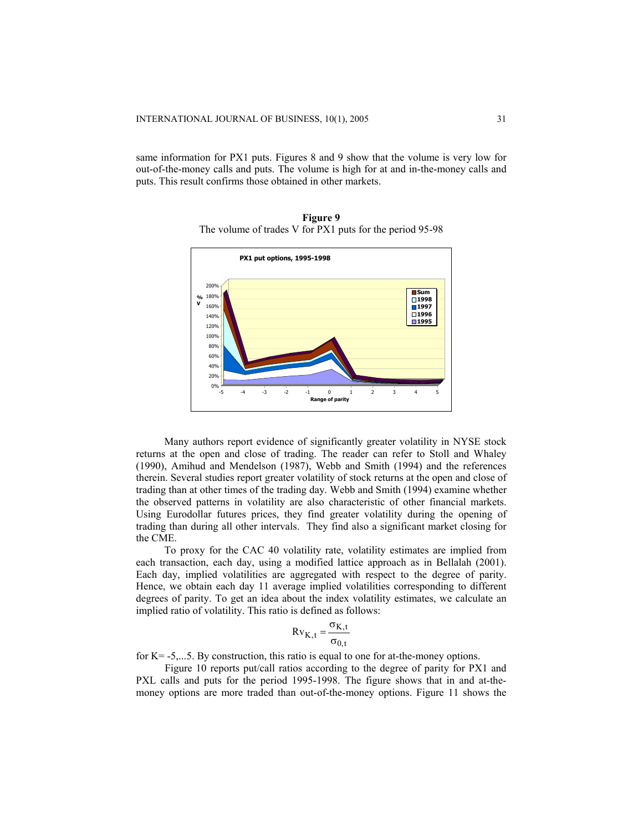same information for PX1 puts. Figures 8 and 9 show that the volume is very low for out-of-the-money calls and puts. The volume is high for at and in-the-money calls and puts. This result confirms those obtained in other markets.



**Figure 9**  The volume of trades V for PX1 puts for the period 95-98

Many authors report evidence of significantly greater volatility in NYSE stock returns at the open and close of trading. The reader can refer to Stoll and Whaley (1990), Amihud and Mendelson (1987), Webb and Smith (1994) and the references therein. Several studies report greater volatility of stock returns at the open and close of trading than at other times of the trading day. Webb and Smith (1994) examine whether the observed patterns in volatility are also characteristic of other financial markets. Using Eurodollar futures prices, they find greater volatility during the opening of trading than during all other intervals. They find also a significant market closing for the CME.

To proxy for the CAC 40 volatility rate, volatility estimates are implied from each transaction, each day, using a modified lattice approach as in Bellalah (2001). Each day, implied volatilities are aggregated with respect to the degree of parity. Hence, we obtain each day 11 average implied volatilities corresponding to different degrees of parity. To get an idea about the index volatility estimates, we calculate an implied ratio of volatility. This ratio is defined as follows:

$$
Rv_{K,t} = \frac{\sigma_{K,t}}{\sigma_{0,t}}
$$

for K= -5,...5. By construction, this ratio is equal to one for at-the-money options.

Figure 10 reports put/call ratios according to the degree of parity for PX1 and PXL calls and puts for the period 1995-1998. The figure shows that in and at-themoney options are more traded than out-of-the-money options. Figure 11 shows the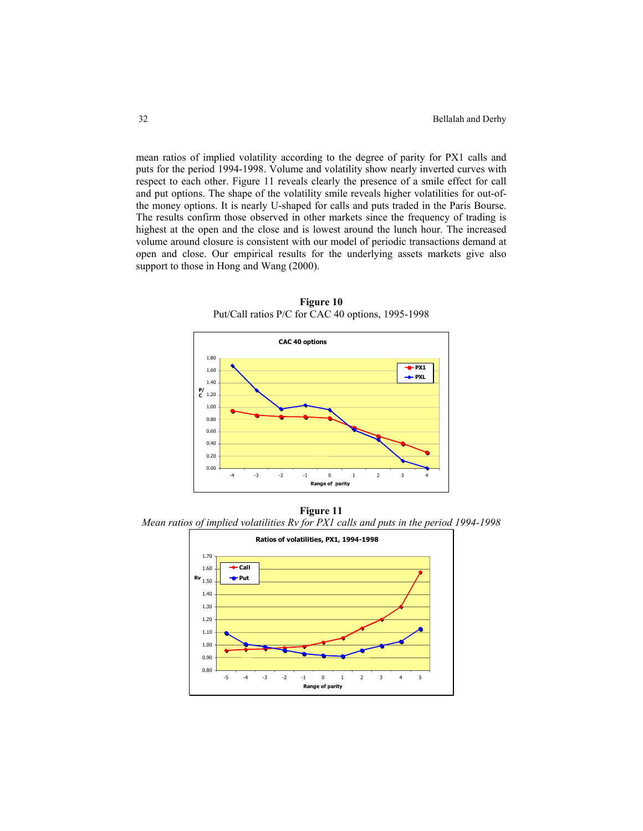mean ratios of implied volatility according to the degree of parity for PX1 calls and puts for the period 1994-1998. Volume and volatility show nearly inverted curves with respect to each other. Figure 11 reveals clearly the presence of a smile effect for call and put options. The shape of the volatility smile reveals higher volatilities for out-ofthe money options. It is nearly U-shaped for calls and puts traded in the Paris Bourse. The results confirm those observed in other markets since the frequency of trading is highest at the open and the close and is lowest around the lunch hour. The increased volume around closure is consistent with our model of periodic transactions demand at open and close. Our empirical results for the underlying assets markets give also support to those in Hong and Wang  $(2000)$ .



**Figure 10**  Put/Call ratios P/C for CAC 40 options, 1995-1998

**Figure 11**  *Mean ratios of implied volatilities Rv for PX1 calls and puts in the period 1994-1998* 

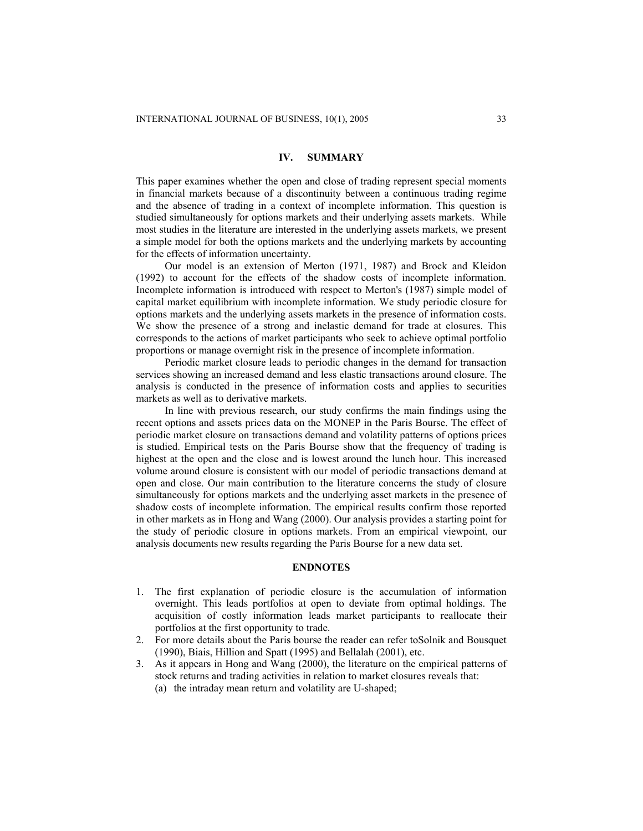# **IV. SUMMARY**

This paper examines whether the open and close of trading represent special moments in financial markets because of a discontinuity between a continuous trading regime and the absence of trading in a context of incomplete information. This question is studied simultaneously for options markets and their underlying assets markets. While most studies in the literature are interested in the underlying assets markets, we present a simple model for both the options markets and the underlying markets by accounting for the effects of information uncertainty.

Our model is an extension of Merton (1971, 1987) and Brock and Kleidon (1992) to account for the effects of the shadow costs of incomplete information. Incomplete information is introduced with respect to Merton's (1987) simple model of capital market equilibrium with incomplete information. We study periodic closure for options markets and the underlying assets markets in the presence of information costs. We show the presence of a strong and inelastic demand for trade at closures. This corresponds to the actions of market participants who seek to achieve optimal portfolio proportions or manage overnight risk in the presence of incomplete information.

Periodic market closure leads to periodic changes in the demand for transaction services showing an increased demand and less elastic transactions around closure. The analysis is conducted in the presence of information costs and applies to securities markets as well as to derivative markets.

In line with previous research, our study confirms the main findings using the recent options and assets prices data on the MONEP in the Paris Bourse. The effect of periodic market closure on transactions demand and volatility patterns of options prices is studied. Empirical tests on the Paris Bourse show that the frequency of trading is highest at the open and the close and is lowest around the lunch hour. This increased volume around closure is consistent with our model of periodic transactions demand at open and close. Our main contribution to the literature concerns the study of closure simultaneously for options markets and the underlying asset markets in the presence of shadow costs of incomplete information. The empirical results confirm those reported in other markets as in Hong and Wang (2000). Our analysis provides a starting point for the study of periodic closure in options markets. From an empirical viewpoint, our analysis documents new results regarding the Paris Bourse for a new data set.

#### **ENDNOTES**

- 1. The first explanation of periodic closure is the accumulation of information overnight. This leads portfolios at open to deviate from optimal holdings. The acquisition of costly information leads market participants to reallocate their portfolios at the first opportunity to trade.
- 2. For more details about the Paris bourse the reader can refer toSolnik and Bousquet (1990), Biais, Hillion and Spatt (1995) and Bellalah (2001), etc.
- 3. As it appears in Hong and Wang (2000), the literature on the empirical patterns of stock returns and trading activities in relation to market closures reveals that: (a) the intraday mean return and volatility are U-shaped;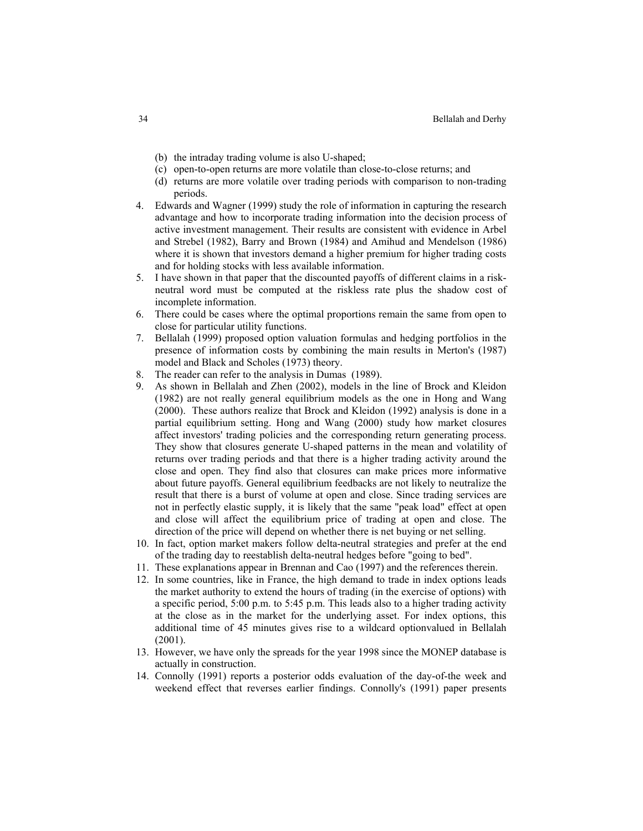- (b) the intraday trading volume is also U-shaped;
- (c) open-to-open returns are more volatile than close-to-close returns; and
- (d) returns are more volatile over trading periods with comparison to non-trading periods.
- 4. Edwards and Wagner (1999) study the role of information in capturing the research advantage and how to incorporate trading information into the decision process of active investment management. Their results are consistent with evidence in Arbel and Strebel (1982), Barry and Brown (1984) and Amihud and Mendelson (1986) where it is shown that investors demand a higher premium for higher trading costs and for holding stocks with less available information.
- 5. I have shown in that paper that the discounted payoffs of different claims in a riskneutral word must be computed at the riskless rate plus the shadow cost of incomplete information.
- 6. There could be cases where the optimal proportions remain the same from open to close for particular utility functions.
- 7. Bellalah (1999) proposed option valuation formulas and hedging portfolios in the presence of information costs by combining the main results in Merton's (1987) model and Black and Scholes (1973) theory.
- 8. The reader can refer to the analysis in Dumas (1989).
- 9. As shown in Bellalah and Zhen (2002), models in the line of Brock and Kleidon (1982) are not really general equilibrium models as the one in Hong and Wang (2000). These authors realize that Brock and Kleidon (1992) analysis is done in a partial equilibrium setting. Hong and Wang (2000) study how market closures affect investors' trading policies and the corresponding return generating process. They show that closures generate U-shaped patterns in the mean and volatility of returns over trading periods and that there is a higher trading activity around the close and open. They find also that closures can make prices more informative about future payoffs. General equilibrium feedbacks are not likely to neutralize the result that there is a burst of volume at open and close. Since trading services are not in perfectly elastic supply, it is likely that the same "peak load" effect at open and close will affect the equilibrium price of trading at open and close. The direction of the price will depend on whether there is net buying or net selling.
- 10. In fact, option market makers follow delta-neutral strategies and prefer at the end of the trading day to reestablish delta-neutral hedges before "going to bed".
- 11. These explanations appear in Brennan and Cao (1997) and the references therein.
- 12. In some countries, like in France, the high demand to trade in index options leads the market authority to extend the hours of trading (in the exercise of options) with a specific period, 5:00 p.m. to 5:45 p.m. This leads also to a higher trading activity at the close as in the market for the underlying asset. For index options, this additional time of 45 minutes gives rise to a wildcard optionvalued in Bellalah (2001).
- 13. However, we have only the spreads for the year 1998 since the MONEP database is actually in construction.
- 14. Connolly (1991) reports a posterior odds evaluation of the day-of-the week and weekend effect that reverses earlier findings. Connolly's (1991) paper presents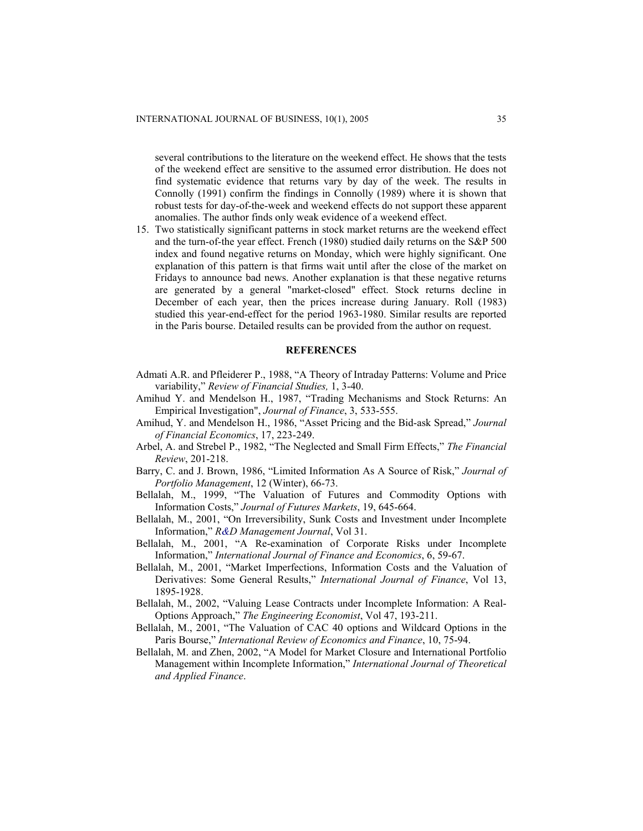several contributions to the literature on the weekend effect. He shows that the tests of the weekend effect are sensitive to the assumed error distribution. He does not find systematic evidence that returns vary by day of the week. The results in Connolly (1991) confirm the findings in Connolly (1989) where it is shown that robust tests for day-of-the-week and weekend effects do not support these apparent anomalies. The author finds only weak evidence of a weekend effect.

15. Two statistically significant patterns in stock market returns are the weekend effect and the turn-of-the year effect. French (1980) studied daily returns on the S&P 500 index and found negative returns on Monday, which were highly significant. One explanation of this pattern is that firms wait until after the close of the market on Fridays to announce bad news. Another explanation is that these negative returns are generated by a general "market-closed" effect. Stock returns decline in December of each year, then the prices increase during January. Roll (1983) studied this year-end-effect for the period 1963-1980. Similar results are reported in the Paris bourse. Detailed results can be provided from the author on request.

# **REFERENCES**

- Admati A.R. and Pfleiderer P., 1988, "A Theory of Intraday Patterns: Volume and Price variability," *Review of Financial Studies,* 1, 3-40.
- Amihud Y. and Mendelson H., 1987, "Trading Mechanisms and Stock Returns: An Empirical Investigation", *Journal of Finance*, 3, 533-555.
- Amihud, Y. and Mendelson H., 1986, "Asset Pricing and the Bid-ask Spread," *Journal of Financial Economics*, 17, 223-249.
- Arbel, A. and Strebel P., 1982, "The Neglected and Small Firm Effects," *The Financial Review*, 201-218.
- Barry, C. and J. Brown, 1986, "Limited Information As A Source of Risk," *Journal of Portfolio Management*, 12 (Winter), 66-73.
- Bellalah, M., 1999, "The Valuation of Futures and Commodity Options with Information Costs," *Journal of Futures Markets*, 19, 645-664.
- Bellalah, M., 2001, "On Irreversibility, Sunk Costs and Investment under Incomplete Information," *R&D Management Journal*, Vol 31.
- Bellalah, M., 2001, "A Re-examination of Corporate Risks under Incomplete Information," *International Journal of Finance and Economics*, 6, 59-67.
- Bellalah, M., 2001, "Market Imperfections, Information Costs and the Valuation of Derivatives: Some General Results," *International Journal of Finance*, Vol 13, 1895-1928.
- Bellalah, M., 2002, "Valuing Lease Contracts under Incomplete Information: A Real-Options Approach," *The Engineering Economist*, Vol 47, 193-211.
- Bellalah, M., 2001, "The Valuation of CAC 40 options and Wildcard Options in the Paris Bourse," *International Review of Economics and Finance*, 10, 75-94.
- Bellalah, M. and Zhen, 2002, "A Model for Market Closure and International Portfolio Management within Incomplete Information," *International Journal of Theoretical and Applied Finance*.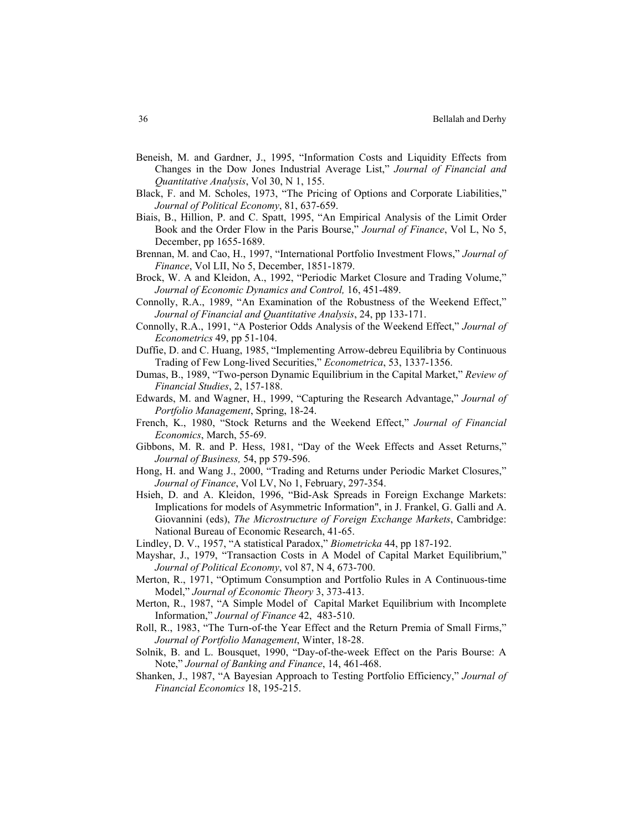- Beneish, M. and Gardner, J., 1995, "Information Costs and Liquidity Effects from Changes in the Dow Jones Industrial Average List," *Journal of Financial and Quantitative Analysis*, Vol 30, N 1, 155.
- Black, F. and M. Scholes, 1973, "The Pricing of Options and Corporate Liabilities," *Journal of Political Economy*, 81, 637-659.
- Biais, B., Hillion, P. and C. Spatt, 1995, "An Empirical Analysis of the Limit Order Book and the Order Flow in the Paris Bourse," *Journal of Finance*, Vol L, No 5, December, pp 1655-1689.
- Brennan, M. and Cao, H., 1997, "International Portfolio Investment Flows," *Journal of Finance*, Vol LII, No 5, December, 1851-1879.
- Brock, W. A and Kleidon, A., 1992, "Periodic Market Closure and Trading Volume," *Journal of Economic Dynamics and Control,* 16, 451-489.
- Connolly, R.A., 1989, "An Examination of the Robustness of the Weekend Effect," *Journal of Financial and Quantitative Analysis*, 24, pp 133-171.
- Connolly, R.A., 1991, "A Posterior Odds Analysis of the Weekend Effect," *Journal of Econometrics* 49, pp 51-104.
- Duffie, D. and C. Huang, 1985, "Implementing Arrow-debreu Equilibria by Continuous Trading of Few Long-lived Securities," *Econometrica*, 53, 1337-1356.
- Dumas, B., 1989, "Two-person Dynamic Equilibrium in the Capital Market," *Review of Financial Studies*, 2, 157-188.
- Edwards, M. and Wagner, H., 1999, "Capturing the Research Advantage," *Journal of Portfolio Management*, Spring, 18-24.
- French, K., 1980, "Stock Returns and the Weekend Effect," *Journal of Financial Economics*, March, 55-69.
- Gibbons, M. R. and P. Hess, 1981, "Day of the Week Effects and Asset Returns," *Journal of Business,* 54, pp 579-596.
- Hong, H. and Wang J., 2000, "Trading and Returns under Periodic Market Closures," *Journal of Finance*, Vol LV, No 1, February, 297-354.
- Hsieh, D. and A. Kleidon, 1996, "Bid-Ask Spreads in Foreign Exchange Markets: Implications for models of Asymmetric Information", in J. Frankel, G. Galli and A. Giovannini (eds), *The Microstructure of Foreign Exchange Markets*, Cambridge: National Bureau of Economic Research, 41-65.
- Lindley, D. V., 1957, "A statistical Paradox," *Biometricka* 44, pp 187-192.
- Mayshar, J., 1979, "Transaction Costs in A Model of Capital Market Equilibrium," *Journal of Political Economy*, vol 87, N 4, 673-700.
- Merton, R., 1971, "Optimum Consumption and Portfolio Rules in A Continuous-time Model," *Journal of Economic Theory* 3, 373-413.
- Merton, R., 1987, "A Simple Model of Capital Market Equilibrium with Incomplete Information," *Journal of Finance* 42, 483-510.
- Roll, R., 1983, "The Turn-of-the Year Effect and the Return Premia of Small Firms," *Journal of Portfolio Management*, Winter, 18-28.
- Solnik, B. and L. Bousquet, 1990, "Day-of-the-week Effect on the Paris Bourse: A Note," *Journal of Banking and Finance*, 14, 461-468.
- Shanken, J., 1987, "A Bayesian Approach to Testing Portfolio Efficiency," *Journal of Financial Economics* 18, 195-215.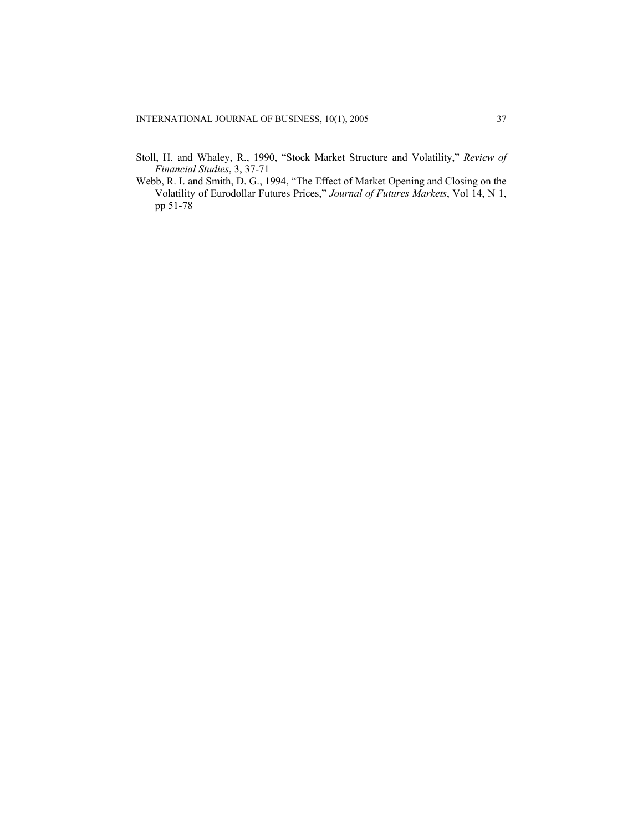- Stoll, H. and Whaley, R., 1990, "Stock Market Structure and Volatility," *Review of Financial Studies*, 3, 37-71
- Webb, R. I. and Smith, D. G., 1994, "The Effect of Market Opening and Closing on the Volatility of Eurodollar Futures Prices," *Journal of Futures Markets*, Vol 14, N 1, pp 51-78